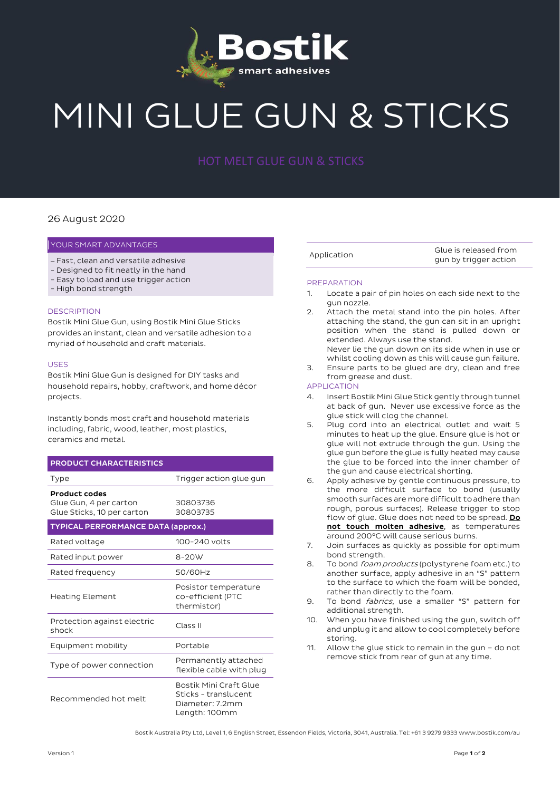

# MINI GLUE GUN & STICKS

### 26 August 2020

#### YOUR SMART ADVANTAGES

- Fast, clean and versatile adhesive
- Designed to fit neatly in the hand
- Easy to load and use trigger action
- High bond strength

#### **DESCRIPTION**

Bostik Mini Glue Gun, using Bostik Mini Glue Sticks provides an instant, clean and versatile adhesion to a myriad of household and craft materials.

#### USES

Bostik Mini Glue Gun is designed for DIY tasks and household repairs, hobby, craftwork, and home décor projects.

Instantly bonds most craft and household materials including, fabric, wood, leather, most plastics, ceramics and metal.

# PRODUCT CHARACTERISTICS

| Type                                                                         | Trigger action glue gun                                                            |
|------------------------------------------------------------------------------|------------------------------------------------------------------------------------|
| <b>Product codes</b><br>Glue Gun, 4 per carton<br>Glue Sticks, 10 per carton | 30803736<br>30803735                                                               |
| <b>TYPICAL PERFORMANCE DATA (approx.)</b>                                    |                                                                                    |
| Rated voltage                                                                | 100-240 volts                                                                      |
| Rated input power                                                            | $8-20W$                                                                            |
| Rated frequency                                                              | 50/60Hz                                                                            |
| Heating Element                                                              | Posistor temperature<br>co-efficient (PTC<br>thermistor)                           |
| Protection against electric<br>shock                                         | Class II                                                                           |
| Equipment mobility                                                           | Portable                                                                           |
| Type of power connection                                                     | Permanently attached<br>flexible cable with plug                                   |
| Recommended hot melt                                                         | Bostik Mini Craft Glue<br>Sticks - translucent<br>Diameter: 7.2mm<br>Length: 100mm |

Application Glue is released from gun by trigger action

#### **PREPARATION**

- 1. Locate a pair of pin holes on each side next to the gun nozzle.
- 2. Attach the metal stand into the pin holes. After attaching the stand, the gun can sit in an upright position when the stand is pulled down or extended. Always use the stand. Never lie the gun down on its side when in use or
- whilst cooling down as this will cause gun failure.
- 3. Ensure parts to be glued are dry, clean and free from grease and dust.

## APPLICATION

- 4. Insert Bostik Mini Glue Stick gently through tunnel at back of gun. Never use excessive force as the glue stick will clog the channel.
- 5. Plug cord into an electrical outlet and wait 5 minutes to heat up the glue. Ensure glue is hot or glue will not extrude through the gun. Using the glue gun before the glue is fully heated may cause the glue to be forced into the inner chamber of the gun and cause electrical shorting.
- 6. Apply adhesive by gentle continuous pressure, to the more difficult surface to bond (usually smooth surfaces are more difficult to adhere than rough, porous surfaces). Release trigger to stop flow of glue. Glue does not need to be spread. Do not touch molten adhesive, as temperatures around 200°C will cause serious burns.
- 7. Join surfaces as quickly as possible for optimum bond strength.
- 8. To bond *foam products* (polystyrene foam etc.) to another surface, apply adhesive in an "S" pattern to the surface to which the foam will be bonded, rather than directly to the foam.
- 9. To bond *fabrics*, use a smaller "S" pattern for additional strength.
- 10. When you have finished using the gun, switch off and unplug it and allow to cool completely before storing.
- 11. Allow the glue stick to remain in the gun do not remove stick from rear of gun at any time.

Bostik Australia Pty Ltd, Level 1, 6 English Street, Essendon Fields, Victoria, 3041, Australia. Tel: +61 3 9279 9333 www.bostik.com/au